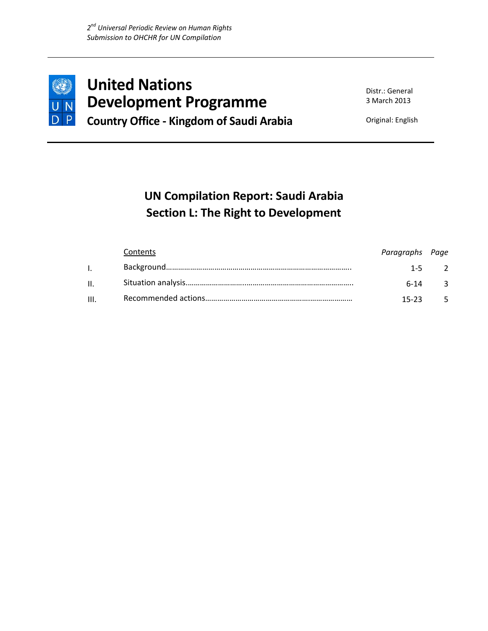

**United Nations Development Programme Country Office ‐ Kingdom of Saudi Arabia** 

Distr.: General 3 March 2013

Original: English

# **UN Compilation Report: Saudi Arabia Section L: The Right to Development**

|       | Contents | Paragraphs Page |           |
|-------|----------|-----------------|-----------|
|       |          |                 | $1 - 5$ 2 |
| II. – |          | $6-14$ 3        |           |
| III.  |          | $15-23$ 5       |           |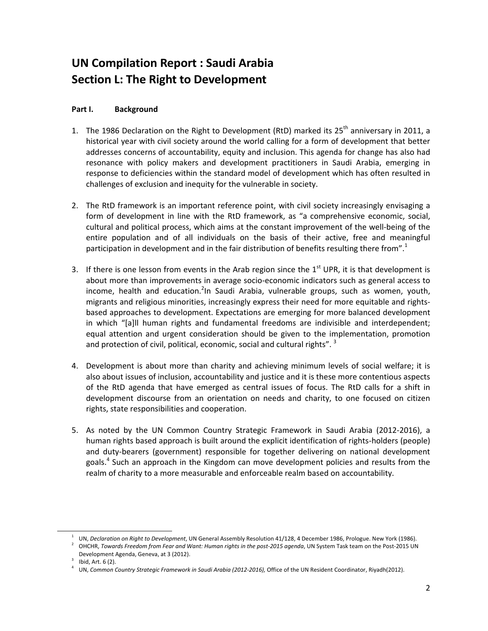## **UN Compilation Report : Saudi Arabia Section L: The Right to Development**

### **Part I. Background**

- 1. The 1986 Declaration on the Right to Development (RtD) marked its 25<sup>th</sup> anniversary in 2011, a historical year with civil society around the world calling for a form of development that better addresses concerns of accountability, equity and inclusion. This agenda for change has also had resonance with policy makers and development practitioners in Saudi Arabia, emerging in response to deficiencies within the standard model of development which has often resulted in challenges of exclusion and inequity for the vulnerable in society.
- 2. The RtD framework is an important reference point, with civil society increasingly envisaging a form of development in line with the RtD framework, as "a comprehensive economic, social, cultural and political process, which aims at the constant improvement of the well‐being of the entire population and of all individuals on the basis of their active, free and meaningful participation in development and in the fair distribution of benefits resulting there from".<sup>1</sup>
- 3. If there is one lesson from events in the Arab region since the  $1<sup>st</sup>$  UPR, it is that development is about more than improvements in average socio‐economic indicators such as general access to income, health and education.<sup>2</sup>In Saudi Arabia, vulnerable groups, such as women, youth, migrants and religious minorities, increasingly express their need for more equitable and rights‐ based approaches to development. Expectations are emerging for more balanced development in which "[a]ll human rights and fundamental freedoms are indivisible and interdependent; equal attention and urgent consideration should be given to the implementation, promotion and protection of civil, political, economic, social and cultural rights".<sup>3</sup>
- 4. Development is about more than charity and achieving minimum levels of social welfare; it is also about issues of inclusion, accountability and justice and it is these more contentious aspects of the RtD agenda that have emerged as central issues of focus. The RtD calls for a shift in development discourse from an orientation on needs and charity, to one focused on citizen rights, state responsibilities and cooperation.
- 5. As noted by the UN Common Country Strategic Framework in Saudi Arabia (2012‐2016), a human rights based approach is built around the explicit identification of rights‐holders (people) and duty‐bearers (government) responsible for together delivering on national development goals.4 Such an approach in the Kingdom can move development policies and results from the realm of charity to a more measurable and enforceable realm based on accountability.

 $\overline{a}$ 

<sup>1</sup> UN, *Declaration on Right to Development*, UN General Assembly Resolution 41/128, 4 December 1986, Prologue. New York (1986). 2 OHCHR, *Towards Freedom from Fear and Want: Human rights in the post‐2015 agenda*, UN System Task team on the Post‐2015 UN

Development Agenda, Geneva, at 3 (2012).

 $3$  Ibid, Art. 6 (2).

<sup>4</sup> UN, *Common Country Strategic Framework in Saudi Arabia (2012‐2016),* Office of the UN Resident Coordinator, Riyadh(2012).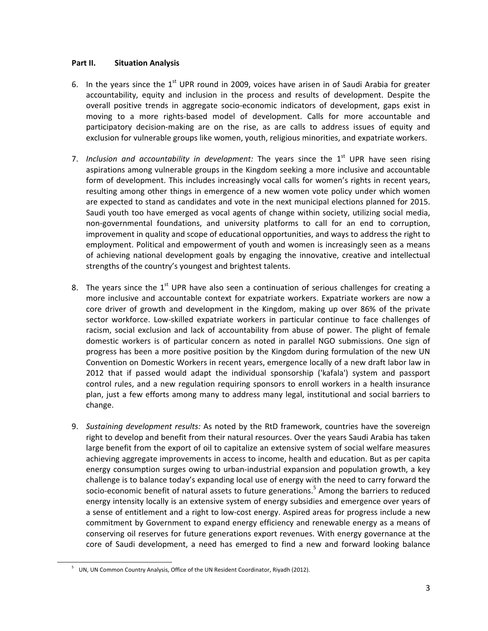### **Part II. Situation Analysis**

- 6. In the years since the 1st UPR round in 2009, voices have arisen in of Saudi Arabia for greater accountability, equity and inclusion in the process and results of development. Despite the overall positive trends in aggregate socio‐economic indicators of development, gaps exist in moving to a more rights‐based model of development. Calls for more accountable and participatory decision‐making are on the rise, as are calls to address issues of equity and exclusion for vulnerable groups like women, youth, religious minorities, and expatriate workers.
- 7. *Inclusion and accountability in development:* The years since the 1<sup>st</sup> UPR have seen rising aspirations among vulnerable groups in the Kingdom seeking a more inclusive and accountable form of development. This includes increasingly vocal calls for women's rights in recent years, resulting among other things in emergence of a new women vote policy under which women are expected to stand as candidates and vote in the next municipal elections planned for 2015. Saudi youth too have emerged as vocal agents of change within society, utilizing social media, non‐governmental foundations, and university platforms to call for an end to corruption, improvement in quality and scope of educational opportunities, and ways to address the right to employment. Political and empowerment of youth and women is increasingly seen as a means of achieving national development goals by engaging the innovative, creative and intellectual strengths of the country's youngest and brightest talents.
- 8. The years since the  $1<sup>st</sup>$  UPR have also seen a continuation of serious challenges for creating a more inclusive and accountable context for expatriate workers. Expatriate workers are now a core driver of growth and development in the Kingdom, making up over 86% of the private sector workforce. Low-skilled expatriate workers in particular continue to face challenges of racism, social exclusion and lack of accountability from abuse of power. The plight of female domestic workers is of particular concern as noted in parallel NGO submissions. One sign of progress has been a more positive position by the Kingdom during formulation of the new UN Convention on Domestic Workers in recent years, emergence locally of a new draft labor law in 2012 that if passed would adapt the individual sponsorship ('kafala') system and passport control rules, and a new regulation requiring sponsors to enroll workers in a health insurance plan, just a few efforts among many to address many legal, institutional and social barriers to change.
- 9. *Sustaining development results:* As noted by the RtD framework, countries have the sovereign right to develop and benefit from their natural resources. Over the years Saudi Arabia has taken large benefit from the export of oil to capitalize an extensive system of social welfare measures achieving aggregate improvements in access to income, health and education. But as per capita energy consumption surges owing to urban‐industrial expansion and population growth, a key challenge is to balance today's expanding local use of energy with the need to carry forward the socio-economic benefit of natural assets to future generations.<sup>5</sup> Among the barriers to reduced energy intensity locally is an extensive system of energy subsidies and emergence over years of a sense of entitlement and a right to low-cost energy. Aspired areas for progress include a new commitment by Government to expand energy efficiency and renewable energy as a means of conserving oil reserves for future generations export revenues. With energy governance at the core of Saudi development, a need has emerged to find a new and forward looking balance

 $\overline{\phantom{a}}$ 

<sup>&</sup>lt;sup>5</sup> UN, UN Common Country Analysis, Office of the UN Resident Coordinator, Riyadh (2012).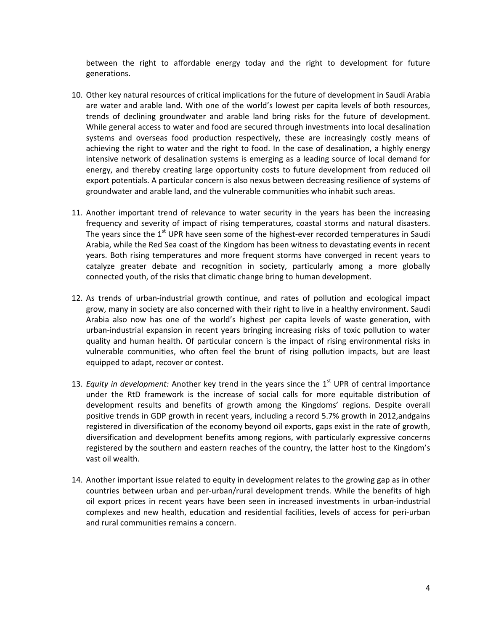between the right to affordable energy today and the right to development for future generations.

- 10. Other key natural resources of critical implications for the future of development in Saudi Arabia are water and arable land. With one of the world's lowest per capita levels of both resources, trends of declining groundwater and arable land bring risks for the future of development. While general access to water and food are secured through investments into local desalination systems and overseas food production respectively, these are increasingly costly means of achieving the right to water and the right to food. In the case of desalination, a highly energy intensive network of desalination systems is emerging as a leading source of local demand for energy, and thereby creating large opportunity costs to future development from reduced oil export potentials. A particular concern is also nexus between decreasing resilience of systems of groundwater and arable land, and the vulnerable communities who inhabit such areas.
- 11. Another important trend of relevance to water security in the years has been the increasing frequency and severity of impact of rising temperatures, coastal storms and natural disasters. The years since the 1<sup>st</sup> UPR have seen some of the highest-ever recorded temperatures in Saudi Arabia, while the Red Sea coast of the Kingdom has been witness to devastating events in recent years. Both rising temperatures and more frequent storms have converged in recent years to catalyze greater debate and recognition in society, particularly among a more globally connected youth, of the risks that climatic change bring to human development.
- 12. As trends of urban‐industrial growth continue, and rates of pollution and ecological impact grow, many in society are also concerned with their right to live in a healthy environment. Saudi Arabia also now has one of the world's highest per capita levels of waste generation, with urban‐industrial expansion in recent years bringing increasing risks of toxic pollution to water quality and human health. Of particular concern is the impact of rising environmental risks in vulnerable communities, who often feel the brunt of rising pollution impacts, but are least equipped to adapt, recover or contest.
- 13. *Equity in development:* Another key trend in the years since the 1st UPR of central importance under the RtD framework is the increase of social calls for more equitable distribution of development results and benefits of growth among the Kingdoms' regions. Despite overall positive trends in GDP growth in recent years, including a record 5.7% growth in 2012,andgains registered in diversification of the economy beyond oil exports, gaps exist in the rate of growth, diversification and development benefits among regions, with particularly expressive concerns registered by the southern and eastern reaches of the country, the latter host to the Kingdom's vast oil wealth.
- 14. Another important issue related to equity in development relates to the growing gap as in other countries between urban and per-urban/rural development trends. While the benefits of high oil export prices in recent years have been seen in increased investments in urban‐industrial complexes and new health, education and residential facilities, levels of access for peri-urban and rural communities remains a concern.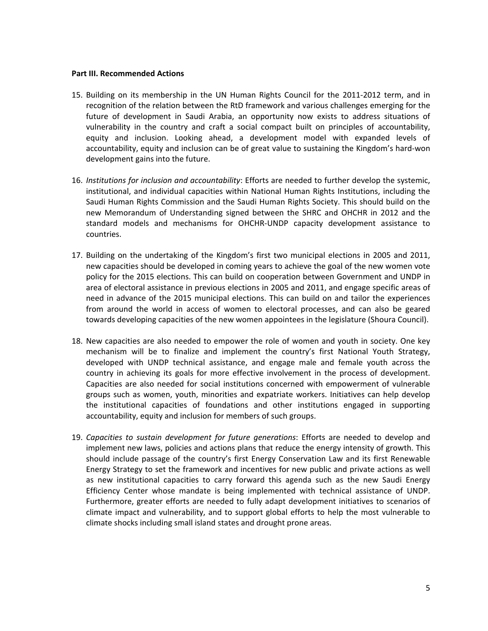#### **Part III. Recommended Actions**

- 15. Building on its membership in the UN Human Rights Council for the 2011‐2012 term, and in recognition of the relation between the RtD framework and various challenges emerging for the future of development in Saudi Arabia, an opportunity now exists to address situations of vulnerability in the country and craft a social compact built on principles of accountability, equity and inclusion. Looking ahead, a development model with expanded levels of accountability, equity and inclusion can be of great value to sustaining the Kingdom's hard‐won development gains into the future.
- 16. *Institutions for inclusion and accountability*: Efforts are needed to further develop the systemic, institutional, and individual capacities within National Human Rights Institutions, including the Saudi Human Rights Commission and the Saudi Human Rights Society. This should build on the new Memorandum of Understanding signed between the SHRC and OHCHR in 2012 and the standard models and mechanisms for OHCHR‐UNDP capacity development assistance to countries.
- 17. Building on the undertaking of the Kingdom's first two municipal elections in 2005 and 2011, new capacities should be developed in coming years to achieve the goal of the new women vote policy for the 2015 elections. This can build on cooperation between Government and UNDP in area of electoral assistance in previous elections in 2005 and 2011, and engage specific areas of need in advance of the 2015 municipal elections. This can build on and tailor the experiences from around the world in access of women to electoral processes, and can also be geared towards developing capacities of the new women appointees in the legislature (Shoura Council).
- 18. New capacities are also needed to empower the role of women and youth in society. One key mechanism will be to finalize and implement the country's first National Youth Strategy, developed with UNDP technical assistance, and engage male and female youth across the country in achieving its goals for more effective involvement in the process of development. Capacities are also needed for social institutions concerned with empowerment of vulnerable groups such as women, youth, minorities and expatriate workers. Initiatives can help develop the institutional capacities of foundations and other institutions engaged in supporting accountability, equity and inclusion for members of such groups.
- 19. *Capacities to sustain development for future generations*: Efforts are needed to develop and implement new laws, policies and actions plans that reduce the energy intensity of growth. This should include passage of the country's first Energy Conservation Law and its first Renewable Energy Strategy to set the framework and incentives for new public and private actions as well as new institutional capacities to carry forward this agenda such as the new Saudi Energy Efficiency Center whose mandate is being implemented with technical assistance of UNDP. Furthermore, greater efforts are needed to fully adapt development initiatives to scenarios of climate impact and vulnerability, and to support global efforts to help the most vulnerable to climate shocks including small island states and drought prone areas.